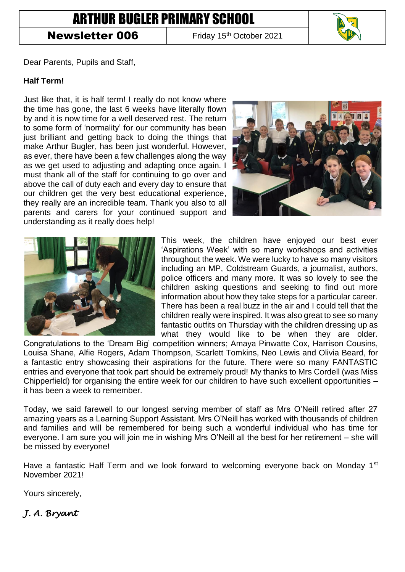# ARTHUR BUGLER PRIMARY SCHOOL

## **Newsletter 006** Friday 15<sup>th</sup> October 2021



Dear Parents, Pupils and Staff,

#### **Half Term!**

Just like that, it is half term! I really do not know where the time has gone, the last 6 weeks have literally flown by and it is now time for a well deserved rest. The return to some form of 'normality' for our community has been just brilliant and getting back to doing the things that make Arthur Bugler, has been just wonderful. However, as ever, there have been a few challenges along the way as we get used to adjusting and adapting once again. I must thank all of the staff for continuing to go over and above the call of duty each and every day to ensure that our children get the very best educational experience, they really are an incredible team. Thank you also to all parents and carers for your continued support and understanding as it really does help!





This week, the children have enjoyed our best ever 'Aspirations Week' with so many workshops and activities throughout the week. We were lucky to have so many visitors including an MP, Coldstream Guards, a journalist, authors, police officers and many more. It was so lovely to see the children asking questions and seeking to find out more information about how they take steps for a particular career. There has been a real buzz in the air and I could tell that the children really were inspired. It was also great to see so many fantastic outfits on Thursday with the children dressing up as what they would like to be when they are older.

Congratulations to the 'Dream Big' competition winners; Amaya Pinwatte Cox, Harrison Cousins, Louisa Shane, Alfie Rogers, Adam Thompson, Scarlett Tomkins, Neo Lewis and Olivia Beard, for a fantastic entry showcasing their aspirations for the future. There were so many FANTASTIC entries and everyone that took part should be extremely proud! My thanks to Mrs Cordell (was Miss Chipperfield) for organising the entire week for our children to have such excellent opportunities – it has been a week to remember.

Today, we said farewell to our longest serving member of staff as Mrs O'Neill retired after 27 amazing years as a Learning Support Assistant. Mrs O'Neill has worked with thousands of children and families and will be remembered for being such a wonderful individual who has time for everyone. I am sure you will join me in wishing Mrs O'Neill all the best for her retirement – she will be missed by everyone!

Have a fantastic Half Term and we look forward to welcoming everyone back on Monday 1<sup>st</sup> November 2021!

Yours sincerely,

### *J. A. Bryant*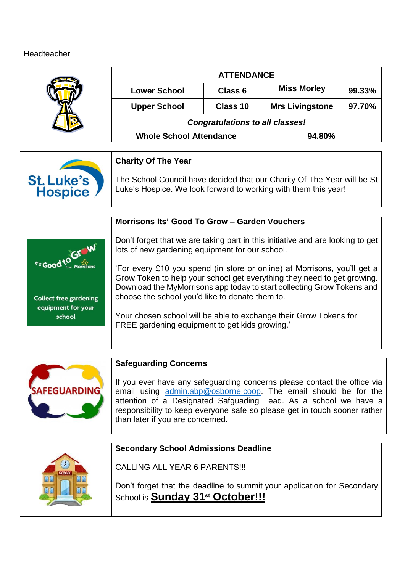# **Headteacher**

| <b>ATTENDANCE</b>                      |          |                        |        |
|----------------------------------------|----------|------------------------|--------|
| <b>Lower School</b>                    | Class 6  | <b>Miss Morley</b>     | 99.33% |
| <b>Upper School</b>                    | Class 10 | <b>Mrs Livingstone</b> | 97.70% |
| <b>Congratulations to all classes!</b> |          |                        |        |
| <b>Whole School Attendance</b>         |          | 94.80%                 |        |

|            | <b>Charity Of The Year</b>                                              |
|------------|-------------------------------------------------------------------------|
| St. Luke's | The School Council have decided that our Charity Of The Year will be St |
| Hospice    | Luke's Hospice. We look forward to working with them this year!         |

|                                                               | Morrisons Its' Good To Grow - Garden Vouchers                                                                                                                                                                                                                                    |
|---------------------------------------------------------------|----------------------------------------------------------------------------------------------------------------------------------------------------------------------------------------------------------------------------------------------------------------------------------|
| <i><b>M's Good to GIT W</b></i>                               | Don't forget that we are taking part in this initiative and are looking to get<br>lots of new gardening equipment for our school.                                                                                                                                                |
|                                                               | 'For every £10 you spend (in store or online) at Morrisons, you'll get a<br>Grow Token to help your school get everything they need to get growing.<br>Download the MyMorrisons app today to start collecting Grow Tokens and<br>choose the school you'd like to donate them to. |
| <b>Collect free gardening</b><br>equipment for your<br>school | Your chosen school will be able to exchange their Grow Tokens for<br>FREE gardening equipment to get kids growing."                                                                                                                                                              |
|                                                               |                                                                                                                                                                                                                                                                                  |

|                     | <b>Safeguarding Concerns</b>                                                                                                                                                                                                                                                                                                     |
|---------------------|----------------------------------------------------------------------------------------------------------------------------------------------------------------------------------------------------------------------------------------------------------------------------------------------------------------------------------|
| <b>SAFEGUARDING</b> | If you ever have any safeguarding concerns please contact the office via<br>email using admin.abp@osborne.coop. The email should be for the<br>attention of a Designated Safguading Lead. As a school we have a<br>responsibility to keep everyone safe so please get in touch sooner rather<br>than later if you are concerned. |

| <b>Secondary School Admissions Deadline</b>                                                                             |
|-------------------------------------------------------------------------------------------------------------------------|
| <b>CALLING ALL YEAR 6 PARENTS!!!</b>                                                                                    |
| Don't forget that the deadline to summit your application for Secondary<br>School is Sunday 31 <sup>st</sup> October!!! |